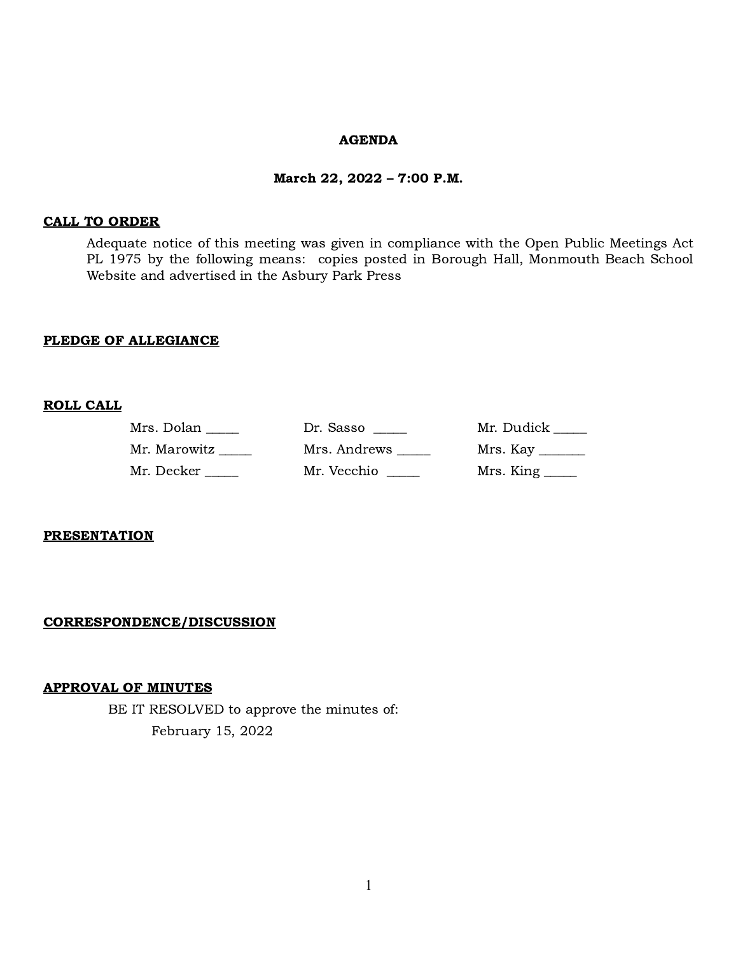#### AGENDA

#### March 22, 2022 – 7:00 P.M.

#### CALL TO ORDER

Adequate notice of this meeting was given in compliance with the Open Public Meetings Act PL 1975 by the following means: copies posted in Borough Hall, Monmouth Beach School Website and advertised in the Asbury Park Press

#### PLEDGE OF ALLEGIANCE

#### ROLL CALL

| Mrs. Dolan   | Dr. Sasso    | Mr. Dudick                       |
|--------------|--------------|----------------------------------|
| Mr. Marowitz | Mrs. Andrews | Mrs. Kay $\frac{1}{\sqrt{2\pi}}$ |
| Mr. Decker   | Mr. Vecchio  | Mrs. King                        |

#### **PRESENTATION**

#### CORRESPONDENCE/DISCUSSION

#### APPROVAL OF MINUTES

BE IT RESOLVED to approve the minutes of: February 15, 2022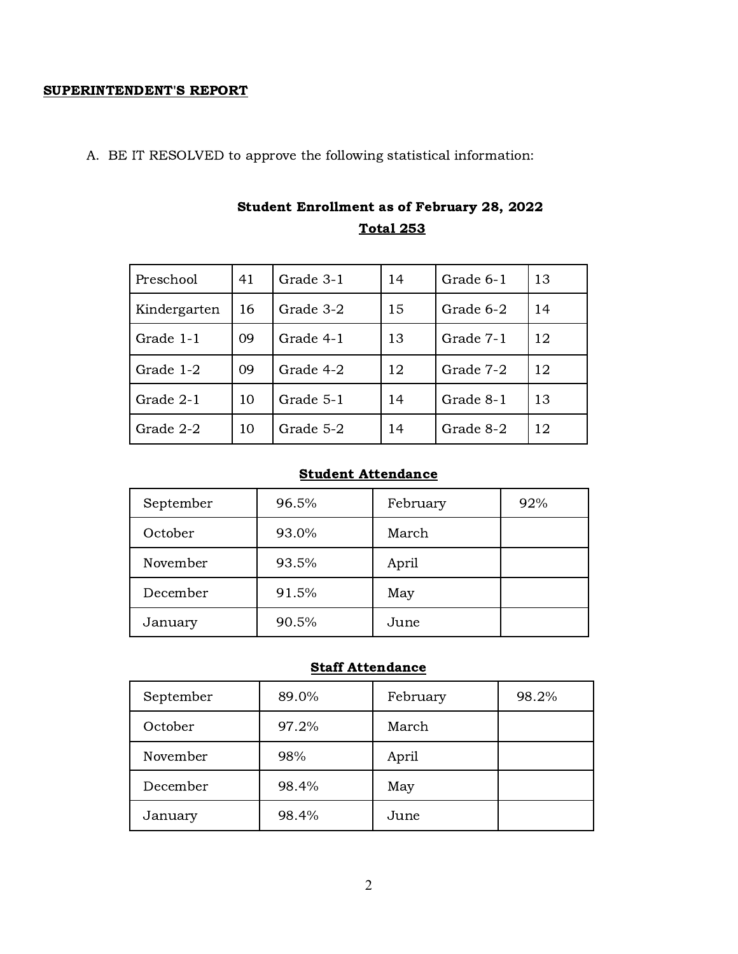#### SUPERINTENDENT'S REPORT

A. BE IT RESOLVED to approve the following statistical information:

| Preschool    | 41 | Grade 3-1 | 14 | Grade 6-1 | 13 |
|--------------|----|-----------|----|-----------|----|
| Kindergarten | 16 | Grade 3-2 | 15 | Grade 6-2 | 14 |
| Grade 1-1    | 09 | Grade 4-1 | 13 | Grade 7-1 | 12 |
| Grade 1-2    | 09 | Grade 4-2 | 12 | Grade 7-2 | 12 |
| Grade 2-1    | 10 | Grade 5-1 | 14 | Grade 8-1 | 13 |
| Grade 2-2    | 10 | Grade 5-2 | 14 | Grade 8-2 | 12 |

# Student Enrollment as of February 28, 2022 Total 253

# Student Attendance

| September | 96.5% | February | 92% |
|-----------|-------|----------|-----|
| October   | 93.0% | March    |     |
| November  | 93.5% | April    |     |
| December  | 91.5% | May      |     |
| January   | 90.5% | June     |     |

# **Staff Attendance**

| September | 89.0% | February | 98.2% |
|-----------|-------|----------|-------|
| October   | 97.2% | March    |       |
| November  | 98%   | April    |       |
| December  | 98.4% | May      |       |
| January   | 98.4% | June     |       |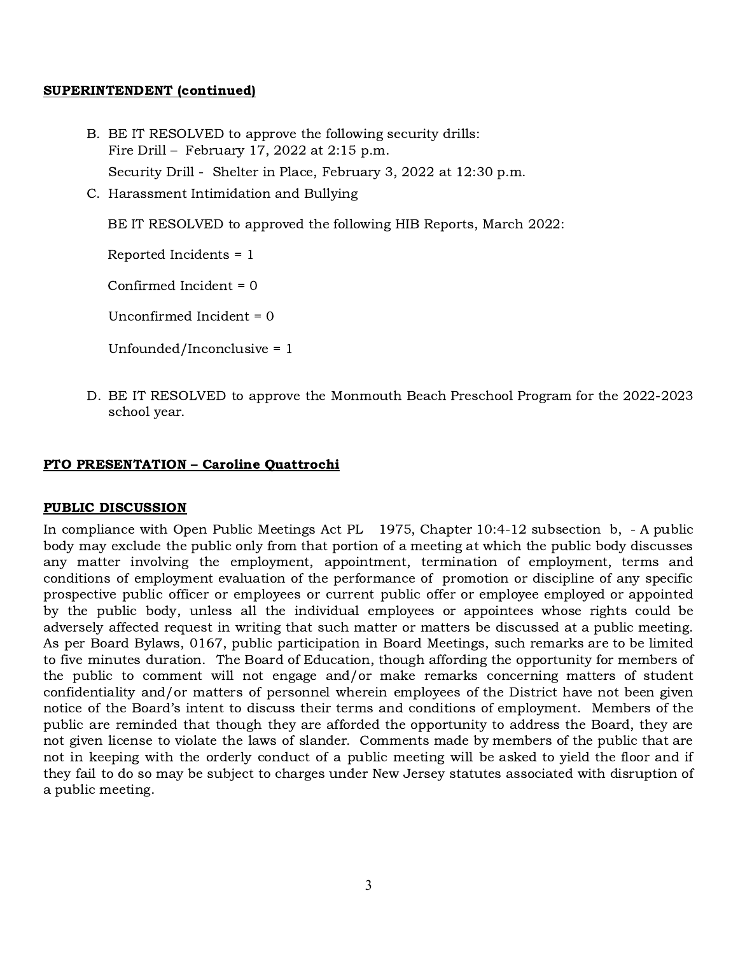#### SUPERINTENDENT (continued)

- B. BE IT RESOLVED to approve the following security drills: Fire Drill – February 17, 2022 at 2:15 p.m. Security Drill - Shelter in Place, February 3, 2022 at 12:30 p.m.
- C. Harassment Intimidation and Bullying

BE IT RESOLVED to approved the following HIB Reports, March 2022:

Reported Incidents = 1

Confirmed Incident = 0

Unconfirmed Incident = 0

Unfounded/Inconclusive = 1

D. BE IT RESOLVED to approve the Monmouth Beach Preschool Program for the 2022-2023 school year.

### PTO PRESENTATION – Caroline Quattrochi

#### PUBLIC DISCUSSION

In compliance with Open Public Meetings Act PL 1975, Chapter 10:4-12 subsection b, - A public body may exclude the public only from that portion of a meeting at which the public body discusses any matter involving the employment, appointment, termination of employment, terms and conditions of employment evaluation of the performance of promotion or discipline of any specific prospective public officer or employees or current public offer or employee employed or appointed by the public body, unless all the individual employees or appointees whose rights could be adversely affected request in writing that such matter or matters be discussed at a public meeting. As per Board Bylaws, 0167, public participation in Board Meetings, such remarks are to be limited to five minutes duration. The Board of Education, though affording the opportunity for members of the public to comment will not engage and/or make remarks concerning matters of student confidentiality and/or matters of personnel wherein employees of the District have not been given notice of the Board's intent to discuss their terms and conditions of employment. Members of the public are reminded that though they are afforded the opportunity to address the Board, they are not given license to violate the laws of slander. Comments made by members of the public that are not in keeping with the orderly conduct of a public meeting will be asked to yield the floor and if they fail to do so may be subject to charges under New Jersey statutes associated with disruption of a public meeting.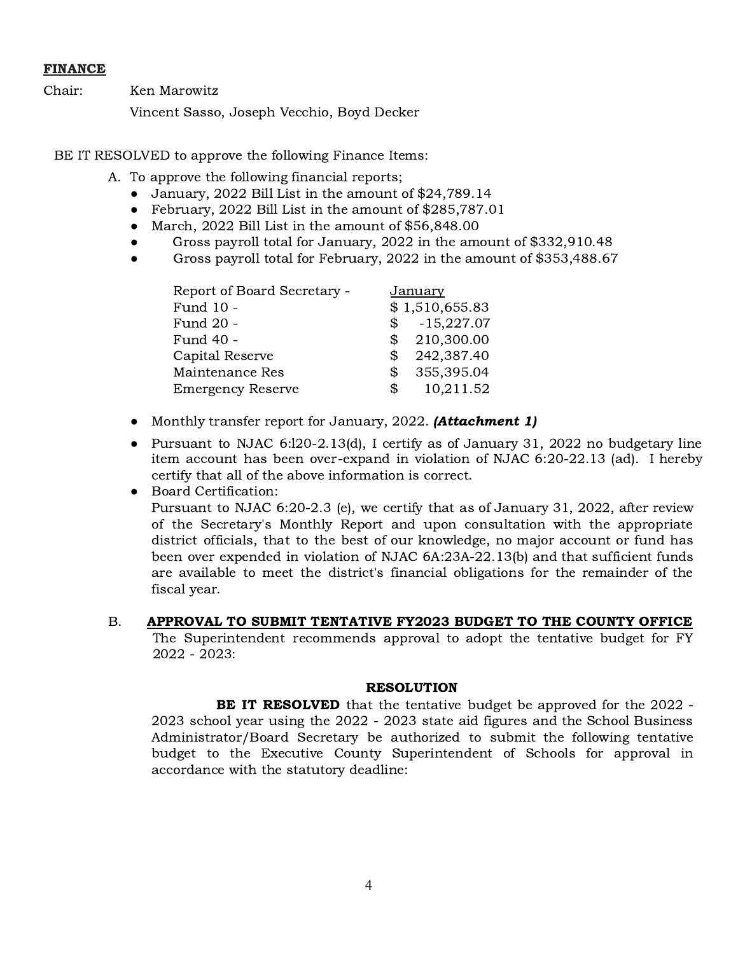### FINANCE

Chair: Ken Marowitz

Vincent Sasso, Joseph Vecchio, Boyd Decker

BE IT RESOLVED to approve the following Finance Items:

- A. To approve the following financial reports;
	- January, 2022 Bill List in the amount of \$24,789.14
	- February, 2022 Bill List in the amount of \$285,787.01
	- March, 2022 Bill List in the amount of \$56,848.00
	- Gross payroll total for January, 2022 in the amount of \$332,910.48
	- Gross payroll total for February, 2022 in the amount of \$353,488.67

| Report of Board Secretary - |            | <u>January</u> |
|-----------------------------|------------|----------------|
| Fund 10 -                   |            | \$1,510,655.83 |
| Fund 20 -                   |            | $$-.15,227.07$ |
| Fund 40 -                   | \$         | 210,300.00     |
| Capital Reserve             | S          | 242,387.40     |
| Maintenance Res             | S          | 355,395.04     |
| <b>Emergency Reserve</b>    | $^{\circ}$ | 10,211.52      |

- Monthly transfer report for January, 2022. (**Attachment 1**)
- Pursuant to NJAC 6:l20-2.13(d), I certify as of January 31, 2022 no budgetary line item account has been over-expand in violation of NJAC 6:20-22.13 (ad). I hereby certify that all of the above information is correct.
- Board Certification:

Pursuant to NJAC 6:20-2.3 (e), we certify that as of January 31, 2022, after review of the Secretary's Monthly Report and upon consultation with the appropriate district officials, that to the best of our knowledge, no major account or fund has been over expended in violation of NJAC 6A:23A-22.13(b) and that sufficient funds are available to meet the district's financial obligations for the remainder of the fiscal year.

## B. APPROVAL TO SUBMIT TENTATIVE FY2023 BUDGET TO THE COUNTY OFFICE

The Superintendent recommends approval to adopt the tentative budget for FY 2022 - 2023:

#### RESOLUTION

**BE IT RESOLVED** that the tentative budget be approved for the 2022 -2023 school year using the 2022 - 2023 state aid figures and the School Business Administrator/Board Secretary be authorized to submit the following tentative budget to the Executive County Superintendent of Schools for approval in accordance with the statutory deadline: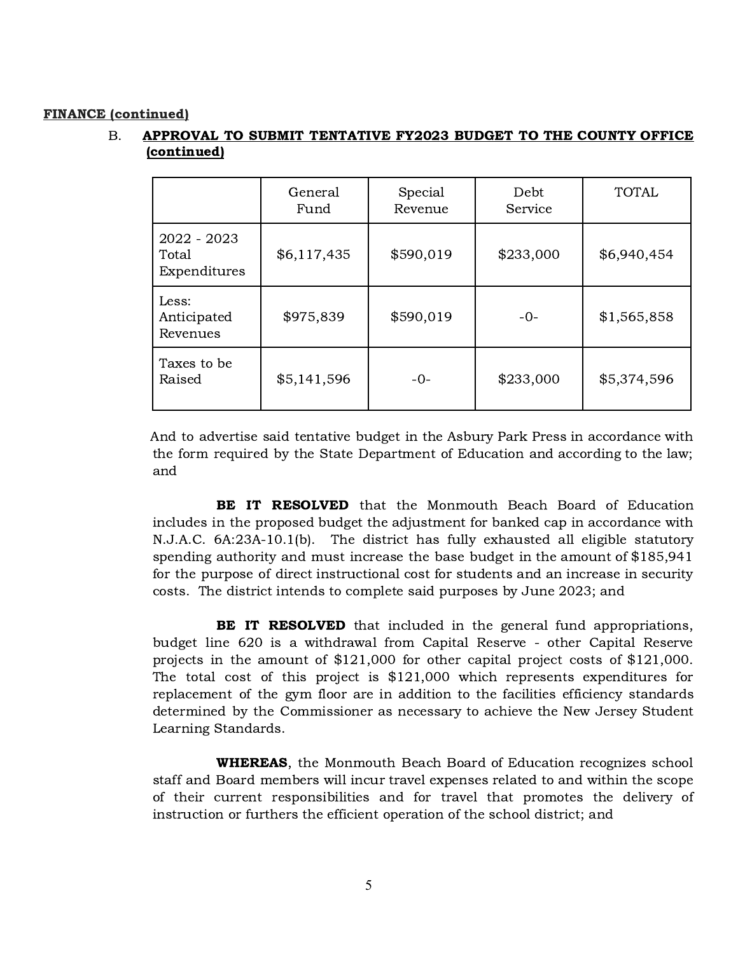#### FINANCE (continued)

# B. APPROVAL TO SUBMIT TENTATIVE FY2023 BUDGET TO THE COUNTY OFFICE (continued)

|                                      | General<br>Fund | Special<br>Revenue | Debt<br>Service | <b>TOTAL</b> |
|--------------------------------------|-----------------|--------------------|-----------------|--------------|
| 2022 - 2023<br>Total<br>Expenditures | \$6,117,435     | \$590,019          | \$233,000       | \$6,940,454  |
| Less:<br>Anticipated<br>Revenues     | \$975,839       | \$590,019          | $-0-$           | \$1,565,858  |
| Taxes to be<br>Raised                | \$5,141,596     | $-0-$              | \$233,000       | \$5,374,596  |

And to advertise said tentative budget in the Asbury Park Press in accordance with the form required by the State Department of Education and according to the law; and

BE IT RESOLVED that the Monmouth Beach Board of Education includes in the proposed budget the adjustment for banked cap in accordance with N.J.A.C. 6A:23A-10.1(b). The district has fully exhausted all eligible statutory spending authority and must increase the base budget in the amount of \$185,941 for the purpose of direct instructional cost for students and an increase in security costs. The district intends to complete said purposes by June 2023; and

**BE IT RESOLVED** that included in the general fund appropriations, budget line 620 is a withdrawal from Capital Reserve - other Capital Reserve projects in the amount of \$121,000 for other capital project costs of \$121,000. The total cost of this project is \$121,000 which represents expenditures for replacement of the gym floor are in addition to the facilities efficiency standards determined by the Commissioner as necessary to achieve the New Jersey Student Learning Standards.

WHEREAS, the Monmouth Beach Board of Education recognizes school staff and Board members will incur travel expenses related to and within the scope of their current responsibilities and for travel that promotes the delivery of instruction or furthers the efficient operation of the school district; and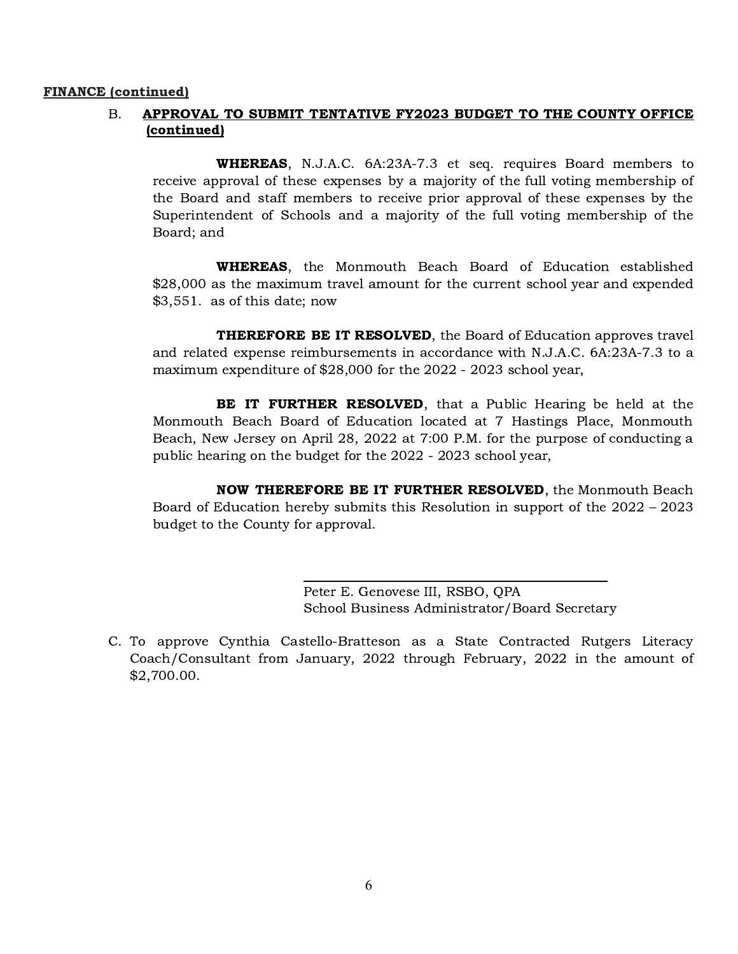#### FINANCE (continued)

# B. APPROVAL TO SUBMIT TENTATIVE FY2023 BUDGET TO THE COUNTY OFFICE (continued)

WHEREAS, N.J.A.C. 6A:23A-7.3 et seq. requires Board members to receive approval of these expenses by a majority of the full voting membership of the Board and staff members to receive prior approval of these expenses by the Superintendent of Schools and a majority of the full voting membership of the Board; and

WHEREAS, the Monmouth Beach Board of Education established \$28,000 as the maximum travel amount for the current school year and expended \$3,551. as of this date; now

**THEREFORE BE IT RESOLVED**, the Board of Education approves travel and related expense reimbursements in accordance with N.J.A.C. 6A:23A-7.3 to a maximum expenditure of \$28,000 for the 2022 - 2023 school year,

**BE IT FURTHER RESOLVED**, that a Public Hearing be held at the Monmouth Beach Board of Education located at 7 Hastings Place, Monmouth Beach, New Jersey on April 28, 2022 at 7:00 P.M. for the purpose of conducting a public hearing on the budget for the 2022 - 2023 school year,

NOW THEREFORE BE IT FURTHER RESOLVED, the Monmouth Beach Board of Education hereby submits this Resolution in support of the 2022 – 2023 budget to the County for approval.

> Peter E. Genovese III, RSBO, QPA School Business Administrator/Board Secretary

C. To approve Cynthia Castello-Bratteson as a State Contracted Rutgers Literacy Coach/Consultant from January, 2022 through February, 2022 in the amount of \$2,700.00.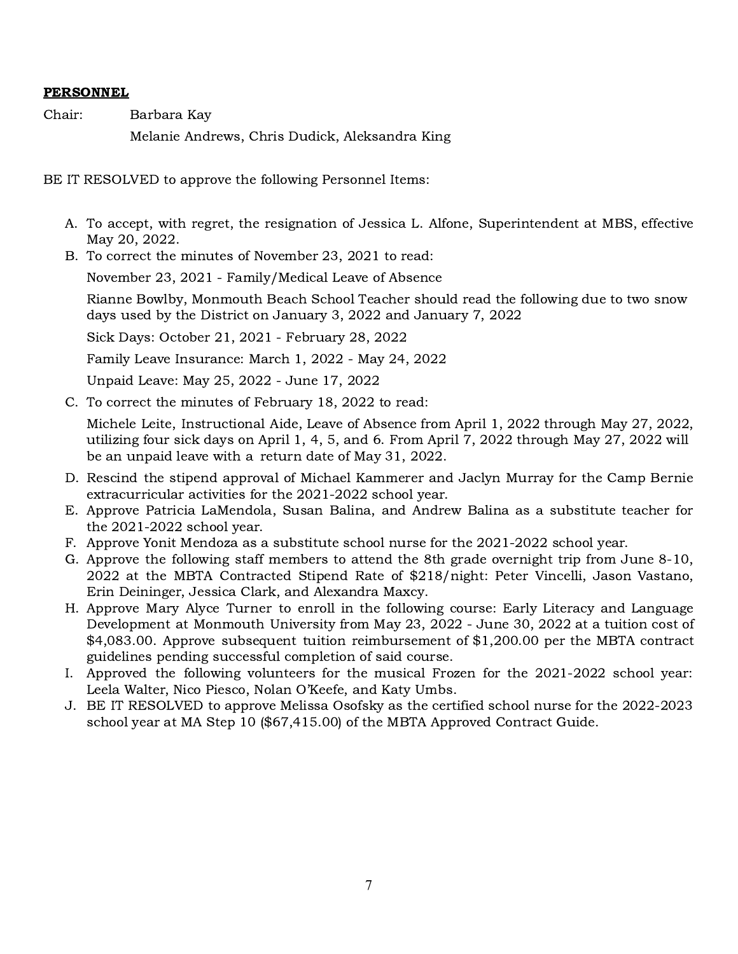# PERSONNEL

Chair: Barbara Kay

Melanie Andrews, Chris Dudick, Aleksandra King

BE IT RESOLVED to approve the following Personnel Items:

- A. To accept, with regret, the resignation of Jessica L. Alfone, Superintendent at MBS, effective May 20, 2022.
- B. To correct the minutes of November 23, 2021 to read:

November 23, 2021 - Family/Medical Leave of Absence

Rianne Bowlby, Monmouth Beach School Teacher should read the following due to two snow days used by the District on January 3, 2022 and January 7, 2022

Sick Days: October 21, 2021 - February 28, 2022

Family Leave Insurance: March 1, 2022 - May 24, 2022

Unpaid Leave: May 25, 2022 - June 17, 2022

C. To correct the minutes of February 18, 2022 to read:

Michele Leite, Instructional Aide, Leave of Absence from April 1, 2022 through May 27, 2022, utilizing four sick days on April 1, 4, 5, and 6. From April 7, 2022 through May 27, 2022 will be an unpaid leave with a return date of May 31, 2022.

- D. Rescind the stipend approval of Michael Kammerer and Jaclyn Murray for the Camp Bernie extracurricular activities for the 2021-2022 school year.
- E. Approve Patricia LaMendola, Susan Balina, and Andrew Balina as a substitute teacher for the 2021-2022 school year.
- F. Approve Yonit Mendoza as a substitute school nurse for the 2021-2022 school year.
- G. Approve the following staff members to attend the 8th grade overnight trip from June 8-10, 2022 at the MBTA Contracted Stipend Rate of \$218/night: Peter Vincelli, Jason Vastano, Erin Deininger, Jessica Clark, and Alexandra Maxcy.
- H. Approve Mary Alyce Turner to enroll in the following course: Early Literacy and Language Development at Monmouth University from May 23, 2022 - June 30, 2022 at a tuition cost of \$4,083.00. Approve subsequent tuition reimbursement of \$1,200.00 per the MBTA contract guidelines pending successful completion of said course.
- I. Approved the following volunteers for the musical Frozen for the 2021-2022 school year: Leela Walter, Nico Piesco, Nolan O'Keefe, and Katy Umbs.
- J. BE IT RESOLVED to approve Melissa Osofsky as the certified school nurse for the 2022-2023 school year at MA Step 10 (\$67,415.00) of the MBTA Approved Contract Guide.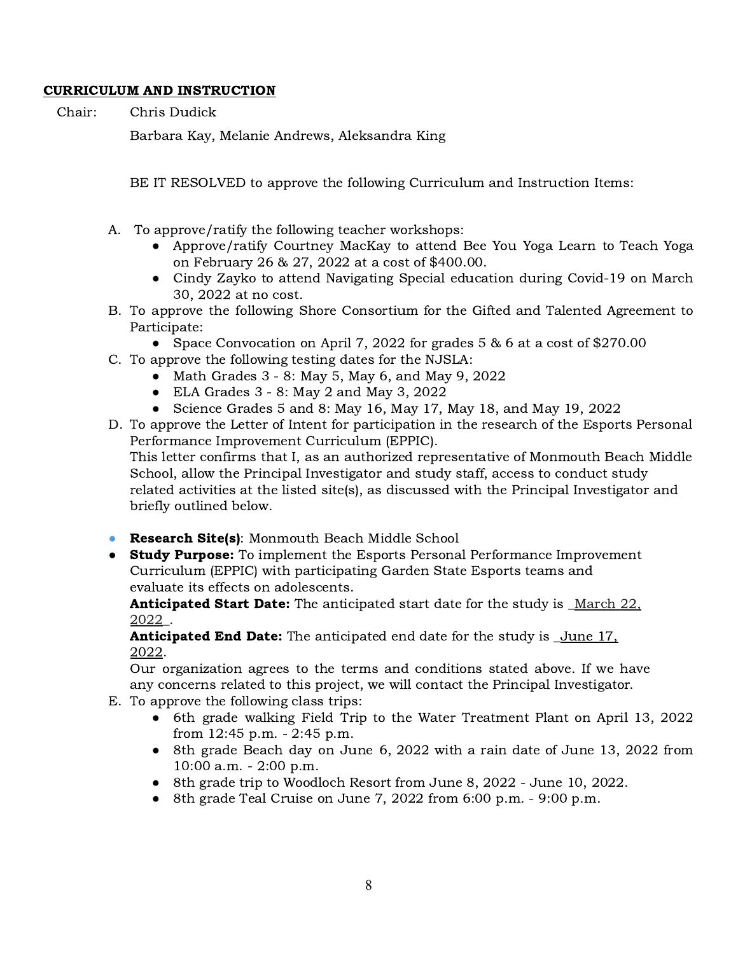# CURRICULUM AND INSTRUCTION

Chair: Chris Dudick

Barbara Kay, Melanie Andrews, Aleksandra King

BE IT RESOLVED to approve the following Curriculum and Instruction Items:

- A. To approve/ratify the following teacher workshops:
	- Approve/ratify Courtney MacKay to attend Bee You Yoga Learn to Teach Yoga on February 26 & 27, 2022 at a cost of \$400.00.
	- Cindy Zayko to attend Navigating Special education during Covid-19 on March 30, 2022 at no cost.
- B. To approve the following Shore Consortium for the Gifted and Talented Agreement to Participate:
	- Space Convocation on April 7, 2022 for grades 5 & 6 at a cost of \$270.00
- C. To approve the following testing dates for the NJSLA:
	- Math Grades 3 8: May 5, May 6, and May 9, 2022
	- $\bullet$  ELA Grades 3 8: May 2 and May 3, 2022
	- Science Grades 5 and 8: May 16, May 17, May 18, and May 19, 2022
- D. To approve the Letter of Intent for participation in the research of the Esports Personal Performance Improvement Curriculum (EPPIC). This letter confirms that I, as an authorized representative of Monmouth Beach Middle School, allow the Principal Investigator and study staff, access to conduct study related activities at the listed site(s), as discussed with the Principal Investigator and briefly outlined below.
- **Research Site(s):** Monmouth Beach Middle School
- **Study Purpose:** To implement the Esports Personal Performance Improvement Curriculum (EPPIC) with participating Garden State Esports teams and evaluate its effects on adolescents.

**Anticipated Start Date:** The anticipated start date for the study is March 22, 2022\_.

**Anticipated End Date:** The anticipated end date for the study is <u>June 17</u>, 2022.

Our organization agrees to the terms and conditions stated above. If we have any concerns related to this project, we will contact the Principal Investigator.

- E. To approve the following class trips:
	- 6th grade walking Field Trip to the Water Treatment Plant on April 13, 2022 from 12:45 p.m. - 2:45 p.m.
	- 8th grade Beach day on June 6, 2022 with a rain date of June 13, 2022 from 10:00 a.m. - 2:00 p.m.
	- 8th grade trip to Woodloch Resort from June 8, 2022 June 10, 2022.
	- 8th grade Teal Cruise on June 7, 2022 from 6:00 p.m. 9:00 p.m.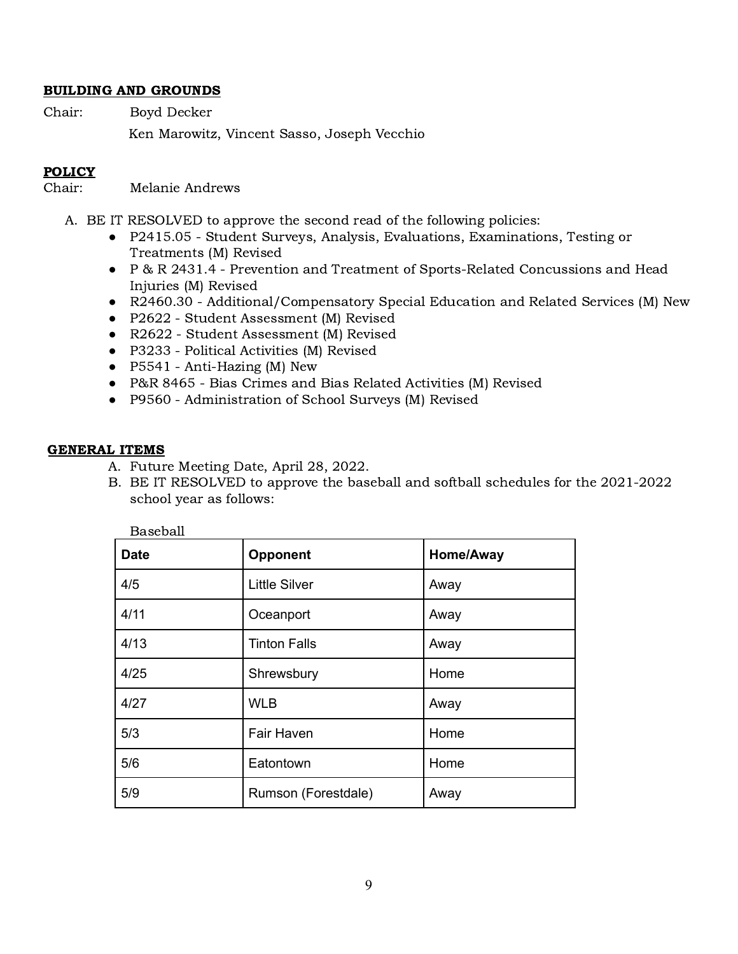### BUILDING AND GROUNDS

Chair: Boyd Decker Ken Marowitz, Vincent Sasso, Joseph Vecchio

## POLICY

Chair: Melanie Andrews

- A. BE IT RESOLVED to approve the second read of the following policies:
	- P2415.05 Student Surveys, Analysis, Evaluations, Examinations, Testing or Treatments (M) Revised
	- P & R 2431.4 Prevention and Treatment of Sports-Related Concussions and Head Injuries (M) Revised
	- R2460.30 Additional/Compensatory Special Education and Related Services (M) New
	- P2622 Student Assessment (M) Revised
	- R2622 Student Assessment (M) Revised
	- P3233 Political Activities (M) Revised
	- P5541 Anti-Hazing (M) New
	- P&R 8465 Bias Crimes and Bias Related Activities (M) Revised
	- P9560 Administration of School Surveys (M) Revised

#### GENERAL ITEMS

- A. Future Meeting Date, April 28, 2022.
- B. BE IT RESOLVED to approve the baseball and softball schedules for the 2021-2022 school year as follows:

| <b>Date</b> | Opponent             | Home/Away |
|-------------|----------------------|-----------|
| 4/5         | <b>Little Silver</b> | Away      |
| 4/11        | Oceanport            | Away      |
| 4/13        | <b>Tinton Falls</b>  | Away      |
| 4/25        | Shrewsbury           | Home      |
| 4/27        | <b>WLB</b>           | Away      |
| 5/3         | Fair Haven           | Home      |
| 5/6         | Eatontown            | Home      |
| 5/9         | Rumson (Forestdale)  | Away      |

Baseball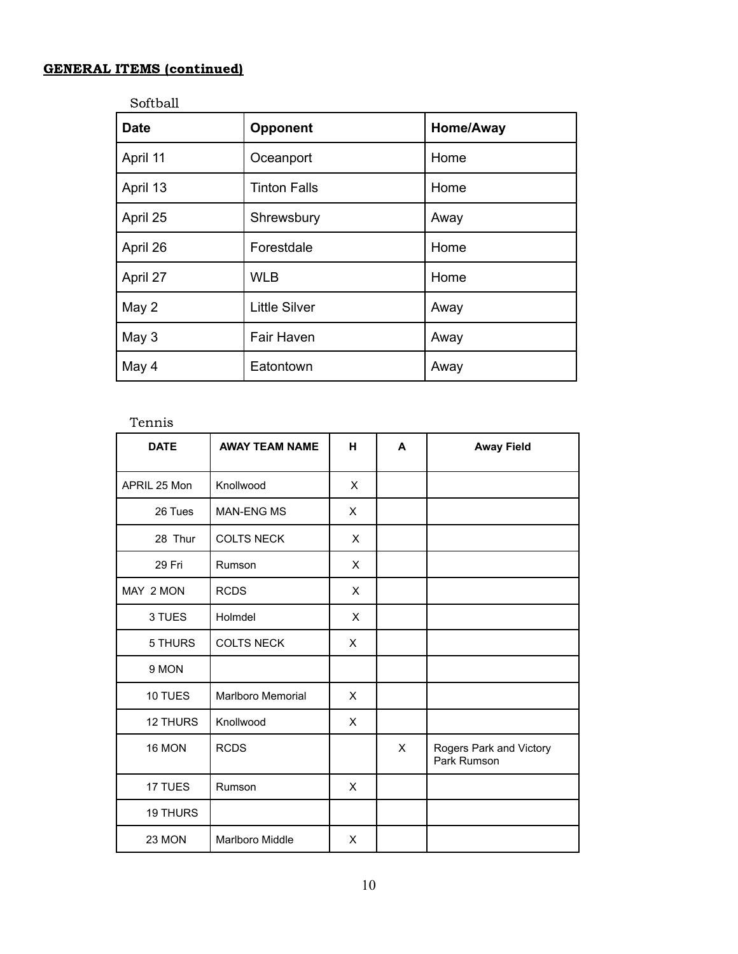# GENERAL ITEMS (continued)

Softball

| <b>Date</b> | <b>Opponent</b>      | Home/Away |
|-------------|----------------------|-----------|
| April 11    | Oceanport            | Home      |
| April 13    | <b>Tinton Falls</b>  | Home      |
| April 25    | Shrewsbury           | Away      |
| April 26    | Forestdale           | Home      |
| April 27    | <b>WLB</b>           | Home      |
| May 2       | <b>Little Silver</b> | Away      |
| May 3       | Fair Haven           | Away      |
| May 4       | Eatontown            | Away      |

# Tennis

| <b>DATE</b>     | <b>AWAY TEAM NAME</b> | н | A | <b>Away Field</b>                      |
|-----------------|-----------------------|---|---|----------------------------------------|
| APRIL 25 Mon    | Knollwood             | X |   |                                        |
| 26 Tues         | <b>MAN-ENG MS</b>     | X |   |                                        |
| 28 Thur         | <b>COLTS NECK</b>     | X |   |                                        |
| 29 Fri          | Rumson                | X |   |                                        |
| MAY 2 MON       | <b>RCDS</b>           | X |   |                                        |
| 3 TUES          | Holmdel               | X |   |                                        |
| 5 THURS         | <b>COLTS NECK</b>     | X |   |                                        |
| 9 MON           |                       |   |   |                                        |
| 10 TUES         | Marlboro Memorial     | X |   |                                        |
| <b>12 THURS</b> | Knollwood             | X |   |                                        |
| 16 MON          | <b>RCDS</b>           |   | X | Rogers Park and Victory<br>Park Rumson |
| 17 TUES         | Rumson                | X |   |                                        |
| 19 THURS        |                       |   |   |                                        |
| 23 MON          | Marlboro Middle       | X |   |                                        |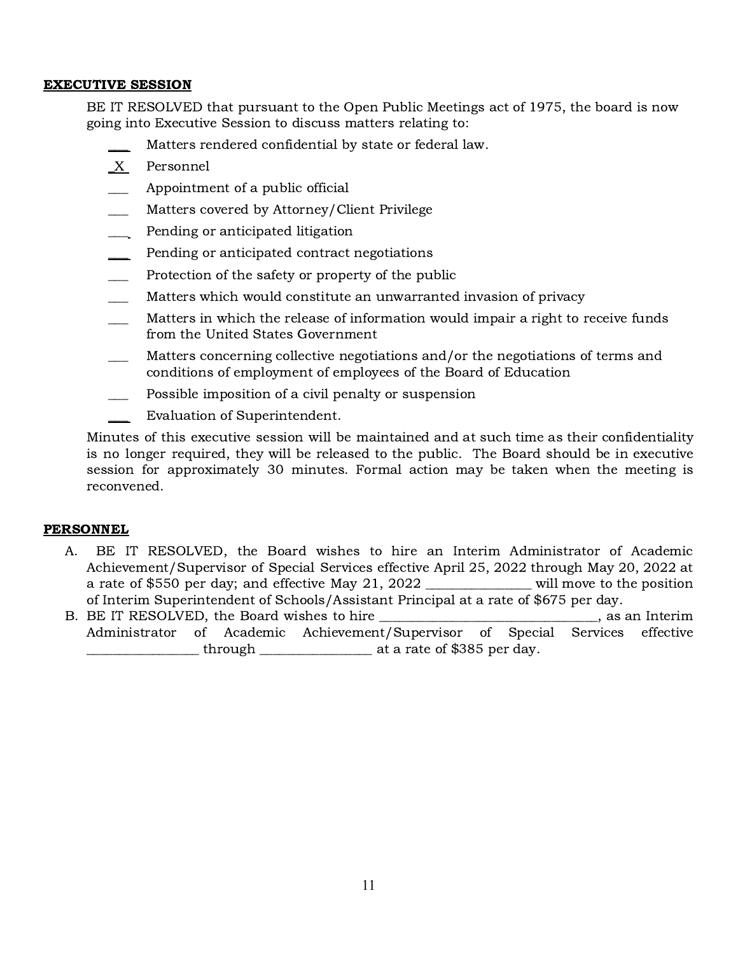### EXECUTIVE SESSION

BE IT RESOLVED that pursuant to the Open Public Meetings act of 1975, the board is now going into Executive Session to discuss matters relating to:

- Matters rendered confidential by state or federal law.
- \_X Personnel
- Appointment of a public official
- Matters covered by Attorney/Client Privilege
- Pending or anticipated litigation
- Pending or anticipated contract negotiations
- Protection of the safety or property of the public
- Matters which would constitute an unwarranted invasion of privacy
- Matters in which the release of information would impair a right to receive funds from the United States Government
- Matters concerning collective negotiations and/or the negotiations of terms and conditions of employment of employees of the Board of Education
- Possible imposition of a civil penalty or suspension
- Evaluation of Superintendent.

Minutes of this executive session will be maintained and at such time as their confidentiality is no longer required, they will be released to the public. The Board should be in executive session for approximately 30 minutes. Formal action may be taken when the meeting is reconvened.

#### PERSONNEL

- A. BE IT RESOLVED, the Board wishes to hire an Interim Administrator of Academic Achievement/Supervisor of Special Services effective April 25, 2022 through May 20, 2022 at a rate of \$550 per day; and effective May 21, 2022 \_\_\_\_\_\_\_\_\_\_\_\_\_\_\_\_ will move to the position of Interim Superintendent of Schools/Assistant Principal at a rate of \$675 per day.
- B. BE IT RESOLVED, the Board wishes to hire \_\_\_\_\_\_\_\_\_\_\_\_\_\_\_\_\_\_\_\_\_\_\_\_\_\_\_\_\_\_\_, as an Interim Administrator of Academic Achievement/Supervisor of Special Services effective  $\frac{1}{2}$  through  $\frac{1}{2}$  at a rate of \$385 per day.